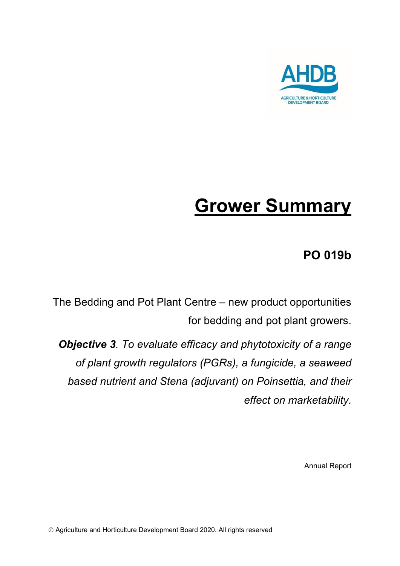

# **Grower Summary**

# **PO 019b**

The Bedding and Pot Plant Centre – new product opportunities for bedding and pot plant growers.

*Objective 3. To evaluate efficacy and phytotoxicity of a range of plant growth regulators (PGRs), a fungicide, a seaweed based nutrient and Stena (adjuvant) on Poinsettia, and their effect on marketability.* 

Annual Report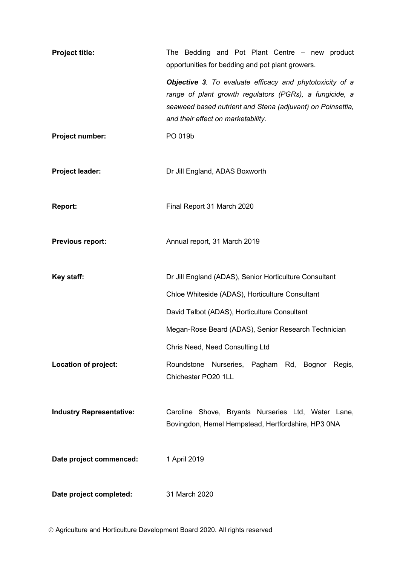| <b>Project title:</b>           | The Bedding and Pot Plant Centre - new product<br>opportunities for bedding and pot plant growers.                                                                                                                      |  |  |
|---------------------------------|-------------------------------------------------------------------------------------------------------------------------------------------------------------------------------------------------------------------------|--|--|
|                                 | Objective 3. To evaluate efficacy and phytotoxicity of a<br>range of plant growth regulators (PGRs), a fungicide, a<br>seaweed based nutrient and Stena (adjuvant) on Poinsettia,<br>and their effect on marketability. |  |  |
| Project number:                 | PO 019b                                                                                                                                                                                                                 |  |  |
| Project leader:                 | Dr Jill England, ADAS Boxworth                                                                                                                                                                                          |  |  |
| Report:                         | Final Report 31 March 2020                                                                                                                                                                                              |  |  |
| Previous report:                | Annual report, 31 March 2019                                                                                                                                                                                            |  |  |
| Key staff:                      | Dr Jill England (ADAS), Senior Horticulture Consultant                                                                                                                                                                  |  |  |
|                                 | Chloe Whiteside (ADAS), Horticulture Consultant                                                                                                                                                                         |  |  |
|                                 | David Talbot (ADAS), Horticulture Consultant                                                                                                                                                                            |  |  |
|                                 | Megan-Rose Beard (ADAS), Senior Research Technician                                                                                                                                                                     |  |  |
|                                 | Chris Need, Need Consulting Ltd                                                                                                                                                                                         |  |  |
| Location of project:            | Roundstone Nurseries, Pagham Rd, Bognor Regis,<br>Chichester PO20 1LL                                                                                                                                                   |  |  |
| <b>Industry Representative:</b> | Caroline Shove, Bryants Nurseries Ltd, Water Lane,<br>Bovingdon, Hemel Hempstead, Hertfordshire, HP3 0NA                                                                                                                |  |  |
| Date project commenced:         | 1 April 2019                                                                                                                                                                                                            |  |  |
| Date project completed:         | 31 March 2020                                                                                                                                                                                                           |  |  |

Agriculture and Horticulture Development Board 2020. All rights reserved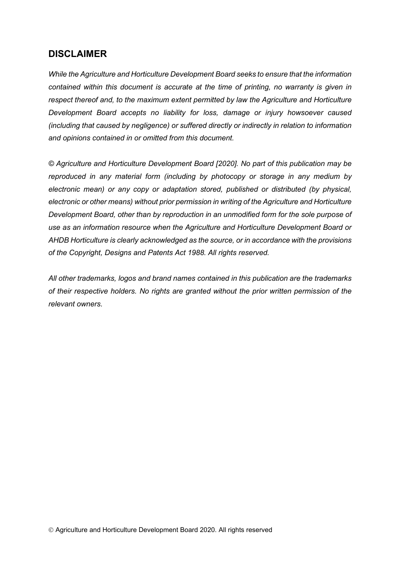### **DISCLAIMER**

*While the Agriculture and Horticulture Development Board seeks to ensure that the information contained within this document is accurate at the time of printing, no warranty is given in respect thereof and, to the maximum extent permitted by law the Agriculture and Horticulture Development Board accepts no liability for loss, damage or injury howsoever caused (including that caused by negligence) or suffered directly or indirectly in relation to information and opinions contained in or omitted from this document.* 

*© Agriculture and Horticulture Development Board [2020]. No part of this publication may be reproduced in any material form (including by photocopy or storage in any medium by electronic mean) or any copy or adaptation stored, published or distributed (by physical, electronic or other means) without prior permission in writing of the Agriculture and Horticulture Development Board, other than by reproduction in an unmodified form for the sole purpose of use as an information resource when the Agriculture and Horticulture Development Board or AHDB Horticulture is clearly acknowledged as the source, or in accordance with the provisions of the Copyright, Designs and Patents Act 1988. All rights reserved.*

*All other trademarks, logos and brand names contained in this publication are the trademarks of their respective holders. No rights are granted without the prior written permission of the relevant owners.*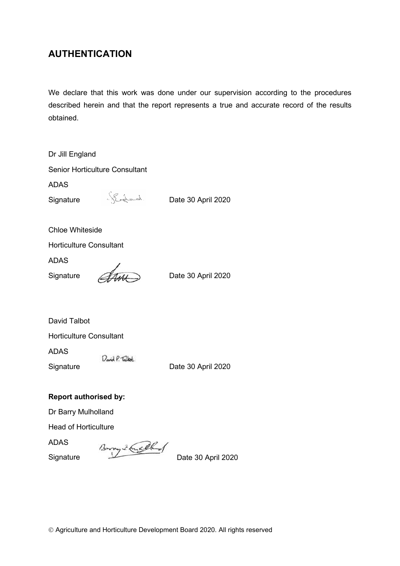# **AUTHENTICATION**

We declare that this work was done under our supervision according to the procedures described herein and that the report represents a true and accurate record of the results obtained.

| Dr Jill England                       |                                                  |                    |  |  |
|---------------------------------------|--------------------------------------------------|--------------------|--|--|
| <b>Senior Horticulture Consultant</b> |                                                  |                    |  |  |
| <b>ADAS</b>                           |                                                  |                    |  |  |
| Signature                             | Shopped.                                         | Date 30 April 2020 |  |  |
| <b>Chloe Whiteside</b>                |                                                  |                    |  |  |
| <b>Horticulture Consultant</b>        |                                                  |                    |  |  |
| <b>ADAS</b>                           |                                                  |                    |  |  |
| Signature                             | Ami)                                             | Date 30 April 2020 |  |  |
| David Talbot                          |                                                  |                    |  |  |
| <b>Horticulture Consultant</b>        |                                                  |                    |  |  |
| <b>ADAS</b><br>Signature              | David P. Talket.                                 | Date 30 April 2020 |  |  |
| <b>Report authorised by:</b>          |                                                  |                    |  |  |
| Dr Barry Mulholland                   |                                                  |                    |  |  |
| <b>Head of Horticulture</b>           |                                                  |                    |  |  |
| <b>ADAS</b>                           | $\sim$ $\sim$ $\sim$ $\sim$ $\sim$ $\sim$ $\sim$ |                    |  |  |

ADAS<br>Signature Biography 2020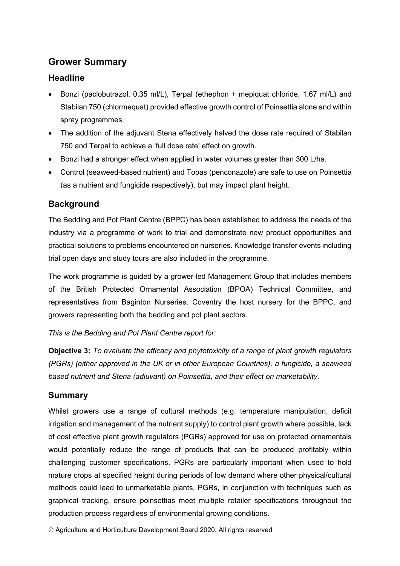# **Grower Summary**

#### **Headline**

- Bonzi (paclobutrazol, 0.35 ml/L), Terpal (ethephon + mepiquat chloride, 1.67 ml/L) and Stabilan 750 (chlormequat) provided effective growth control of Poinsettia alone and within spray programmes.
- The addition of the adjuvant Stena effectively halved the dose rate required of Stabilan 750 and Terpal to achieve a 'full dose rate' effect on growth.
- Bonzi had a stronger effect when applied in water volumes greater than 300 L/ha.
- Control (seaweed-based nutrient) and Topas (penconazole) are safe to use on Poinsettia (as a nutrient and fungicide respectively), but may impact plant height.

#### **Background**

The Bedding and Pot Plant Centre (BPPC) has been established to address the needs of the industry via a programme of work to trial and demonstrate new product opportunities and practical solutions to problems encountered on nurseries. Knowledge transfer events including trial open days and study tours are also included in the programme.

The work programme is guided by a grower-led Management Group that includes members of the British Protected Ornamental Association (BPOA) Technical Committee, and representatives from Baginton Nurseries, Coventry the host nursery for the BPPC, and growers representing both the bedding and pot plant sectors.

*This is the Bedding and Pot Plant Centre report for:* 

**Objective 3:** *To evaluate the efficacy and phytotoxicity of a range of plant growth regulators (PGRs) (either approved in the UK or in other European Countries), a fungicide, a seaweed based nutrient and Stena (adjuvant) on Poinsettia, and their effect on marketability.*

#### **Summary**

Whilst growers use a range of cultural methods (e.g. temperature manipulation, deficit irrigation and management of the nutrient supply) to control plant growth where possible, lack of cost effective plant growth regulators (PGRs) approved for use on protected ornamentals would potentially reduce the range of products that can be produced profitably within challenging customer specifications. PGRs are particularly important when used to hold mature crops at specified height during periods of low demand where other physical/cultural methods could lead to unmarketable plants. PGRs, in conjunction with techniques such as graphical tracking, ensure poinsettias meet multiple retailer specifications throughout the production process regardless of environmental growing conditions.

Agriculture and Horticulture Development Board 2020. All rights reserved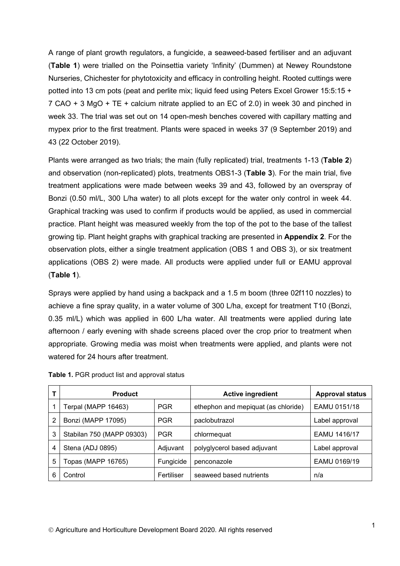A range of plant growth regulators, a fungicide, a seaweed-based fertiliser and an adjuvant (**[Table 1](#page-5-0)**) were trialled on the Poinsettia variety 'Infinity' (Dummen) at Newey Roundstone Nurseries, Chichester for phytotoxicity and efficacy in controlling height. Rooted cuttings were potted into 13 cm pots (peat and perlite mix; liquid feed using Peters Excel Grower 15:5:15 + 7 CAO + 3 MgO + TE + calcium nitrate applied to an EC of 2.0) in week 30 and pinched in week 33. The trial was set out on 14 open-mesh benches covered with capillary matting and mypex prior to the first treatment. Plants were spaced in weeks 37 (9 September 2019) and 43 (22 October 2019).

Plants were arranged as two trials; the main (fully replicated) trial, treatments 1-13 (**[Table 2](#page-6-0)**) and observation (non-replicated) plots, treatments OBS1-3 (**[Table 3](#page-7-0)**). For the main trial, five treatment applications were made between weeks 39 and 43, followed by an overspray of Bonzi (0.50 ml/L, 300 L/ha water) to all plots except for the water only control in week 44. Graphical tracking was used to confirm if products would be applied, as used in commercial practice. Plant height was measured weekly from the top of the pot to the base of the tallest growing tip. Plant height graphs with graphical tracking are presented in **Appendix 2**. For the observation plots, either a single treatment application (OBS 1 and OBS 3), or six treatment applications (OBS 2) were made. All products were applied under full or EAMU approval (**[Table 1](#page-5-0)**).

Sprays were applied by hand using a backpack and a 1.5 m boom (three 02f110 nozzles) to achieve a fine spray quality, in a water volume of 300 L/ha, except for treatment T10 (Bonzi, 0.35 ml/L) which was applied in 600 L/ha water. All treatments were applied during late afternoon / early evening with shade screens placed over the crop prior to treatment when appropriate. Growing media was moist when treatments were applied, and plants were not watered for 24 hours after treatment.

|   | <b>Product</b>            |            | <b>Active ingredient</b>            | <b>Approval status</b> |
|---|---------------------------|------------|-------------------------------------|------------------------|
|   | Terpal (MAPP 16463)       | <b>PGR</b> | ethephon and mepiquat (as chloride) | EAMU 0151/18           |
| 2 | Bonzi (MAPP 17095)        | <b>PGR</b> | paclobutrazol                       | Label approval         |
| 3 | Stabilan 750 (MAPP 09303) | <b>PGR</b> | chlormequat                         | EAMU 1416/17           |
| 4 | Stena (ADJ 0895)          | Adjuvant   | polyglycerol based adjuvant         | Label approval         |
| 5 | Topas (MAPP 16765)        | Fungicide  | penconazole                         | EAMU 0169/19           |
| 6 | Control                   | Fertiliser | seaweed based nutrients             | n/a                    |

<span id="page-5-0"></span>**Table 1.** PGR product list and approval status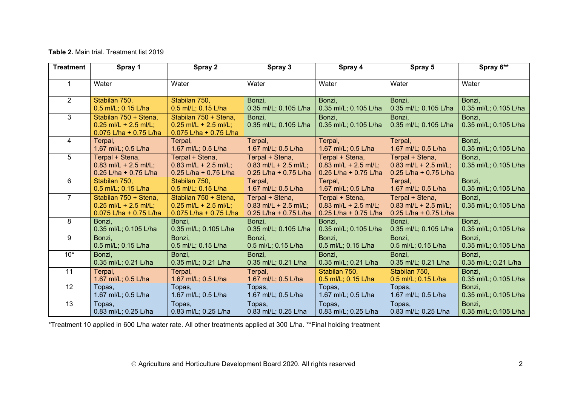#### **Table 2.** Main trial. Treatment list 2019

| <b>Treatment</b> | Spray 1                                                                    | Spray 2                                                                    | Spray 3                                                             | Spray 4                                                               | Spray 5                                                             | Spray 6**                       |
|------------------|----------------------------------------------------------------------------|----------------------------------------------------------------------------|---------------------------------------------------------------------|-----------------------------------------------------------------------|---------------------------------------------------------------------|---------------------------------|
| 1                | Water                                                                      | Water                                                                      | Water                                                               | Water                                                                 | Water                                                               | Water                           |
| $\overline{2}$   | Stabilan 750,                                                              | Stabilan 750,                                                              | Bonzi,                                                              | Bonzi.                                                                | Bonzi.                                                              | Bonzi,                          |
|                  | 0.5 ml/L; 0.15 L/ha                                                        | 0.5 ml/L; 0.15 L/ha                                                        | 0.35 ml/L; 0.105 L/ha                                               | 0.35 ml/L; 0.105 L/ha                                                 | 0.35 ml/L; 0.105 L/ha                                               | 0.35 ml/L; 0.105 L/ha           |
| 3                | Stabilan 750 + Stena,<br>$0.25$ ml/L + 2.5 ml/L;<br>0.075 L/ha + 0.75 L/ha | Stabilan 750 + Stena,<br>$0.25$ ml/L + 2.5 ml/L;<br>0.075 L/ha + 0.75 L/ha | Bonzi,<br>0.35 ml/L; 0.105 L/ha                                     | Bonzi,<br>0.35 ml/L; 0.105 L/ha                                       | Bonzi,<br>0.35 ml/L; 0.105 L/ha                                     | Bonzi,<br>0.35 ml/L; 0.105 L/ha |
| 4                | Terpal,                                                                    | Terpal,                                                                    | Terpal,                                                             | Terpal,                                                               | Terpal,                                                             | Bonzi,                          |
|                  | 1.67 ml/L; 0.5 L/ha                                                        | 1.67 ml/L; 0.5 L/ha                                                        | 1.67 ml/L; 0.5 L/ha                                                 | 1.67 ml/L; 0.5 L/ha                                                   | 1.67 ml/L; 0.5 L/ha                                                 | 0.35 ml/L; 0.105 L/ha           |
| 5                | Terpal + Stena,<br>$0.83$ ml/L + 2.5 ml/L;<br>0.25 L/ha + 0.75 L/ha        | Terpal + Stena,<br>$0.83$ ml/L + 2.5 ml/L;<br>0.25 L/ha + 0.75 L/ha        | Terpal + Stena,<br>$0.83$ ml/L + 2.5 ml/L;<br>0.25 L/ha + 0.75 L/ha | Terpal + Stena,<br>$0.83$ ml/L + 2.5 ml/L;<br>$0.25$ L/ha + 0.75 L/ha | Terpal + Stena,<br>$0.83$ ml/L + 2.5 ml/L;<br>0.25 L/ha + 0.75 L/ha | Bonzi,<br>0.35 ml/L; 0.105 L/ha |
| 6                | Stabilan 750,                                                              | Stabilan 750,                                                              | Terpal,                                                             | Terpal,                                                               | Terpal,                                                             | Bonzi,                          |
|                  | 0.5 ml/L; 0.15 L/ha                                                        | 0.5 ml/L; 0.15 L/ha                                                        | 1.67 ml/L; 0.5 L/ha                                                 | 1.67 ml/L; 0.5 L/ha                                                   | 1.67 ml/L; 0.5 L/ha                                                 | 0.35 ml/L; 0.105 L/ha           |
| $\overline{7}$   | Stabilan 750 + Stena,<br>$0.25$ ml/L + 2.5 ml/L;<br>0.075 L/ha + 0.75 L/ha | Stabilan 750 + Stena,<br>$0.25$ ml/L + 2.5 ml/L;<br>0.075 L/ha + 0.75 L/ha | Terpal + Stena,<br>$0.83$ ml/L + 2.5 ml/L;<br>0.25 L/ha + 0.75 L/ha | Terpal + Stena,<br>$0.83$ ml/L + 2.5 ml/L;<br>0.25 L/ha + 0.75 L/ha   | Terpal + Stena,<br>$0.83$ ml/L + 2.5 ml/L;<br>0.25 L/ha + 0.75 L/ha | Bonzi,<br>0.35 ml/L; 0.105 L/ha |
| 8                | Bonzi,                                                                     | Bonzi,                                                                     | Bonzi,                                                              | Bonzi,                                                                | Bonzi,                                                              | Bonzi,                          |
|                  | 0.35 ml/L; 0.105 L/ha                                                      | 0.35 ml/L; 0.105 L/ha                                                      | 0.35 ml/L; 0.105 L/ha                                               | 0.35 ml/L; 0.105 L/ha                                                 | 0.35 ml/L; 0.105 L/ha                                               | 0.35 ml/L; 0.105 L/ha           |
| 9                | Bonzi,                                                                     | Bonzi,                                                                     | Bonzi,                                                              | Bonzi,                                                                | Bonzi,                                                              | Bonzi,                          |
|                  | 0.5 ml/L; 0.15 L/ha                                                        | 0.5 ml/L; 0.15 L/ha                                                        | 0.5 ml/L; 0.15 L/ha                                                 | 0.5 ml/L; 0.15 L/ha                                                   | 0.5 ml/L; 0.15 L/ha                                                 | 0.35 ml/L; 0.105 L/ha           |
| $10*$            | Bonzi,                                                                     | Bonzi,                                                                     | Bonzi,                                                              | Bonzi,                                                                | Bonzi,                                                              | Bonzi,                          |
|                  | 0.35 ml/L; 0.21 L/ha                                                       | 0.35 ml/L; 0.21 L/ha                                                       | 0.35 ml/L; 0.21 L/ha                                                | 0.35 ml/L; 0.21 L/ha                                                  | 0.35 ml/L; 0.21 L/ha                                                | 0.35 ml/L; 0.21 L/ha            |
| 11               | Terpal,                                                                    | Terpal,                                                                    | Terpal,                                                             | Stabilan 750,                                                         | Stabilan 750,                                                       | Bonzi,                          |
|                  | 1.67 ml/L; 0.5 L/ha                                                        | 1.67 ml/L; 0.5 L/ha                                                        | 1.67 ml/L; 0.5 L/ha                                                 | 0.5 ml/L; 0.15 L/ha                                                   | 0.5 ml/L; 0.15 L/ha                                                 | 0.35 ml/L; 0.105 L/ha           |
| 12               | Topas,                                                                     | Topas,                                                                     | Topas,                                                              | Topas,                                                                | Topas,                                                              | Bonzi,                          |
|                  | 1.67 ml/L; 0.5 L/ha                                                        | 1.67 ml/L; 0.5 L/ha                                                        | 1.67 ml/L; 0.5 L/ha                                                 | 1.67 ml/L; 0.5 L/ha                                                   | 1.67 ml/L; 0.5 L/ha                                                 | 0.35 ml/L; 0.105 L/ha           |
| 13               | Topas,                                                                     | Topas,                                                                     | Topas,                                                              | Topas,                                                                | Topas,                                                              | Bonzi,                          |
|                  | 0.83 ml/L; 0.25 L/ha                                                       | 0.83 ml/L; 0.25 L/ha                                                       | 0.83 ml/L; 0.25 L/ha                                                | 0.83 ml/L; 0.25 L/ha                                                  | 0.83 ml/L; 0.25 L/ha                                                | 0.35 ml/L; 0.105 L/ha           |

<span id="page-6-0"></span>\*Treatment 10 applied in 600 L/ha water rate. All other treatments applied at 300 L/ha. \*\*Final holding treatment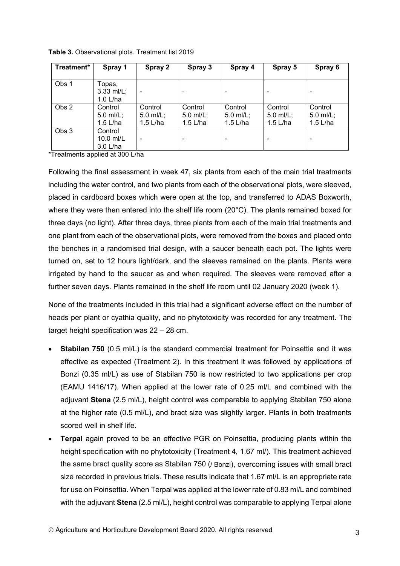| Treatment* | Spray 1                            | Spray 2                          | Spray 3                            | Spray 4                              | Spray 5                            | Spray 6                            |
|------------|------------------------------------|----------------------------------|------------------------------------|--------------------------------------|------------------------------------|------------------------------------|
| Obs 1      | Topas,<br>$3.33$ ml/L;<br>1.0 L/ha |                                  |                                    |                                      |                                    |                                    |
| Obs 2      | Control<br>5.0 ml/L;<br>1.5 L/ha   | Control<br>5.0 ml/L;<br>1.5 L/ha | Control<br>5.0 ml/L;<br>$1.5$ L/ha | Control<br>$5.0$ ml/L;<br>$1.5$ L/ha | Control<br>5.0 ml/L;<br>$1.5$ L/ha | Control<br>5.0 ml/L;<br>$1.5$ L/ha |
| Obs 3      | Control<br>10.0 ml/L<br>$3.0$ L/ha |                                  |                                    |                                      |                                    |                                    |

<span id="page-7-0"></span>**Table 3.** Observational plots. Treatment list 2019

\*Treatments applied at 300 L/ha

Following the final assessment in week 47, six plants from each of the main trial treatments including the water control, and two plants from each of the observational plots, were sleeved, placed in cardboard boxes which were open at the top, and transferred to ADAS Boxworth, where they were then entered into the shelf life room (20°C). The plants remained boxed for three days (no light). After three days, three plants from each of the main trial treatments and one plant from each of the observational plots, were removed from the boxes and placed onto the benches in a randomised trial design, with a saucer beneath each pot. The lights were turned on, set to 12 hours light/dark, and the sleeves remained on the plants. Plants were irrigated by hand to the saucer as and when required. The sleeves were removed after a further seven days. Plants remained in the shelf life room until 02 January 2020 (week 1).

None of the treatments included in this trial had a significant adverse effect on the number of heads per plant or cyathia quality, and no phytotoxicity was recorded for any treatment. The target height specification was 22 – 28 cm.

- **Stabilan 750** (0.5 ml/L) is the standard commercial treatment for Poinsettia and it was effective as expected (Treatment 2). In this treatment it was followed by applications of Bonzi (0.35 ml/L) as use of Stabilan 750 is now restricted to two applications per crop (EAMU 1416/17). When applied at the lower rate of 0.25 ml/L and combined with the adjuvant **Stena** (2.5 ml/L), height control was comparable to applying Stabilan 750 alone at the higher rate (0.5 ml/L), and bract size was slightly larger. Plants in both treatments scored well in shelf life.
- **Terpal** again proved to be an effective PGR on Poinsettia, producing plants within the height specification with no phytotoxicity (Treatment 4, 1.67 ml/). This treatment achieved the same bract quality score as Stabilan 750 (/ Bonzi), overcoming issues with small bract size recorded in previous trials. These results indicate that 1.67 ml/L is an appropriate rate for use on Poinsettia. When Terpal was applied at the lower rate of 0.83 ml/L and combined with the adjuvant **Stena** (2.5 ml/L), height control was comparable to applying Terpal alone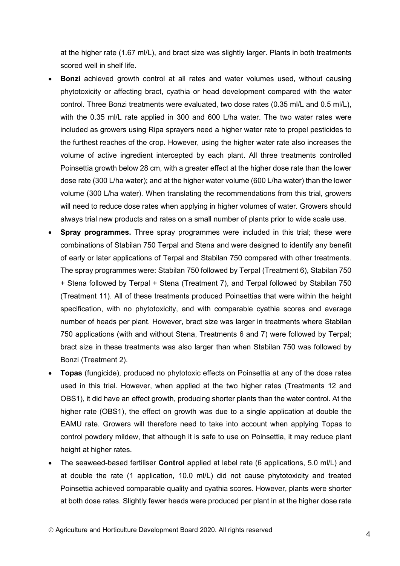at the higher rate (1.67 ml/L), and bract size was slightly larger. Plants in both treatments scored well in shelf life.

- **Bonzi** achieved growth control at all rates and water volumes used, without causing phytotoxicity or affecting bract, cyathia or head development compared with the water control. Three Bonzi treatments were evaluated, two dose rates (0.35 ml/L and 0.5 ml/L), with the 0.35 ml/L rate applied in 300 and 600 L/ha water. The two water rates were included as growers using Ripa sprayers need a higher water rate to propel pesticides to the furthest reaches of the crop. However, using the higher water rate also increases the volume of active ingredient intercepted by each plant. All three treatments controlled Poinsettia growth below 28 cm, with a greater effect at the higher dose rate than the lower dose rate (300 L/ha water); and at the higher water volume (600 L/ha water) than the lower volume (300 L/ha water). When translating the recommendations from this trial, growers will need to reduce dose rates when applying in higher volumes of water. Growers should always trial new products and rates on a small number of plants prior to wide scale use.
- **Spray programmes.** Three spray programmes were included in this trial; these were combinations of Stabilan 750 Terpal and Stena and were designed to identify any benefit of early or later applications of Terpal and Stabilan 750 compared with other treatments. The spray programmes were: Stabilan 750 followed by Terpal (Treatment 6), Stabilan 750 + Stena followed by Terpal + Stena (Treatment 7), and Terpal followed by Stabilan 750 (Treatment 11). All of these treatments produced Poinsettias that were within the height specification, with no phytotoxicity, and with comparable cyathia scores and average number of heads per plant. However, bract size was larger in treatments where Stabilan 750 applications (with and without Stena, Treatments 6 and 7) were followed by Terpal; bract size in these treatments was also larger than when Stabilan 750 was followed by Bonzi (Treatment 2).
- **Topas** (fungicide), produced no phytotoxic effects on Poinsettia at any of the dose rates used in this trial. However, when applied at the two higher rates (Treatments 12 and OBS1), it did have an effect growth, producing shorter plants than the water control. At the higher rate (OBS1), the effect on growth was due to a single application at double the EAMU rate. Growers will therefore need to take into account when applying Topas to control powdery mildew, that although it is safe to use on Poinsettia, it may reduce plant height at higher rates.
- The seaweed-based fertiliser **Control** applied at label rate (6 applications, 5.0 ml/L) and at double the rate (1 application, 10.0 ml/L) did not cause phytotoxicity and treated Poinsettia achieved comparable quality and cyathia scores. However, plants were shorter at both dose rates. Slightly fewer heads were produced per plant in at the higher dose rate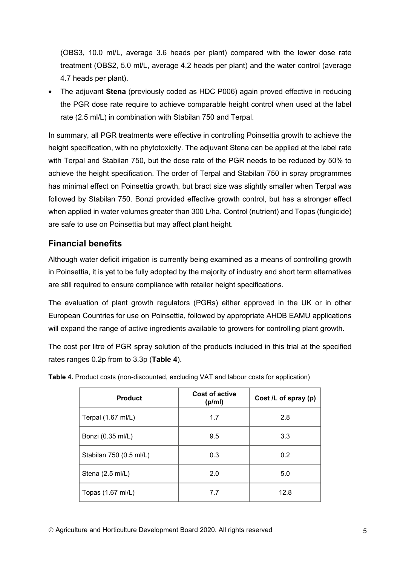(OBS3, 10.0 ml/L, average 3.6 heads per plant) compared with the lower dose rate treatment (OBS2, 5.0 ml/L, average 4.2 heads per plant) and the water control (average 4.7 heads per plant).

• The adjuvant **Stena** (previously coded as HDC P006) again proved effective in reducing the PGR dose rate require to achieve comparable height control when used at the label rate (2.5 ml/L) in combination with Stabilan 750 and Terpal.

In summary, all PGR treatments were effective in controlling Poinsettia growth to achieve the height specification, with no phytotoxicity. The adjuvant Stena can be applied at the label rate with Terpal and Stabilan 750, but the dose rate of the PGR needs to be reduced by 50% to achieve the height specification. The order of Terpal and Stabilan 750 in spray programmes has minimal effect on Poinsettia growth, but bract size was slightly smaller when Terpal was followed by Stabilan 750. Bonzi provided effective growth control, but has a stronger effect when applied in water volumes greater than 300 L/ha. Control (nutrient) and Topas (fungicide) are safe to use on Poinsettia but may affect plant height.

#### **Financial benefits**

Although water deficit irrigation is currently being examined as a means of controlling growth in Poinsettia, it is yet to be fully adopted by the majority of industry and short term alternatives are still required to ensure compliance with retailer height specifications.

The evaluation of plant growth regulators (PGRs) either approved in the UK or in other European Countries for use on Poinsettia, followed by appropriate AHDB EAMU applications will expand the range of active ingredients available to growers for controlling plant growth.

The cost per litre of PGR spray solution of the products included in this trial at the specified rates ranges 0.2p from to 3.3p (**[Table 4](#page-9-0)**).

| <b>Product</b>               | <b>Cost of active</b><br>(p/ml) | Cost /L of spray (p) |
|------------------------------|---------------------------------|----------------------|
| Terpal $(1.67 \text{ ml/L})$ | 1.7                             | 2.8                  |
| Bonzi (0.35 ml/L)            | 9.5                             | 3.3                  |
| Stabilan 750 (0.5 ml/L)      | 0.3                             | 0.2                  |
| Stena (2.5 ml/L)             | 2.0                             | 5.0                  |
| Topas (1.67 ml/L)            | 7.7                             | 12.8                 |

<span id="page-9-0"></span>**Table 4.** Product costs (non-discounted, excluding VAT and labour costs for application)